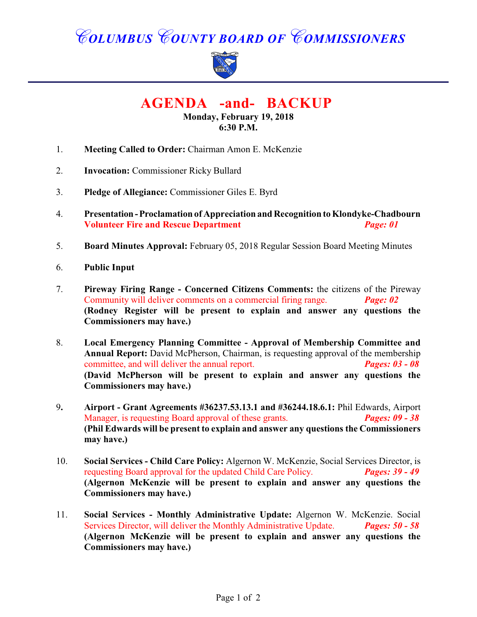# *COLUMBUS COUNTY BOARD OF COMMISSIONERS*



 **AGENDA -and- BACKUP** 

**Monday, February 19, 2018 6:30 P.M.**

- 1. **Meeting Called to Order:** Chairman Amon E. McKenzie
- 2. **Invocation:** Commissioner Ricky Bullard
- 3. **Pledge of Allegiance:** Commissioner Giles E. Byrd
- 4. **Presentation Proclamation of Appreciation and Recognition to Klondyke-Chadbourn Volunteer Fire and Rescue Department** *Page: 01*
- 5. **Board Minutes Approval:** February 05, 2018 Regular Session Board Meeting Minutes
- 6. **Public Input**
- 7. **Pireway Firing Range Concerned Citizens Comments:** the citizens of the Pireway Community will deliver comments on a commercial firing range. *Page: 02* **(Rodney Register will be present to explain and answer any questions the Commissioners may have.)**
- 8. **Local Emergency Planning Committee - Approval of Membership Committee and Annual Report:** David McPherson, Chairman, is requesting approval of the membership committee, and will deliver the annual report. *Pages: 03 - 08* **(David McPherson will be present to explain and answer any questions the Commissioners may have.)**
- 9**. Airport Grant Agreements #36237.53.13.1 and #36244.18.6.1:** Phil Edwards, Airport Manager, is requesting Board approval of these grants. *Pages: 09 - 38* **(Phil Edwards will be present to explain and answer any questions the Commissioners may have.)**
- 10. **Social Services Child Care Policy:** Algernon W. McKenzie, Social Services Director, is requesting Board approval for the updated Child Care Policy. *Pages: 39 - 49* **(Algernon McKenzie will be present to explain and answer any questions the Commissioners may have.)**
- 11. **Social Services Monthly Administrative Update:** Algernon W. McKenzie. Social Services Director, will deliver the Monthly Administrative Update. *Pages: 50 - 58* **(Algernon McKenzie will be present to explain and answer any questions the Commissioners may have.)**